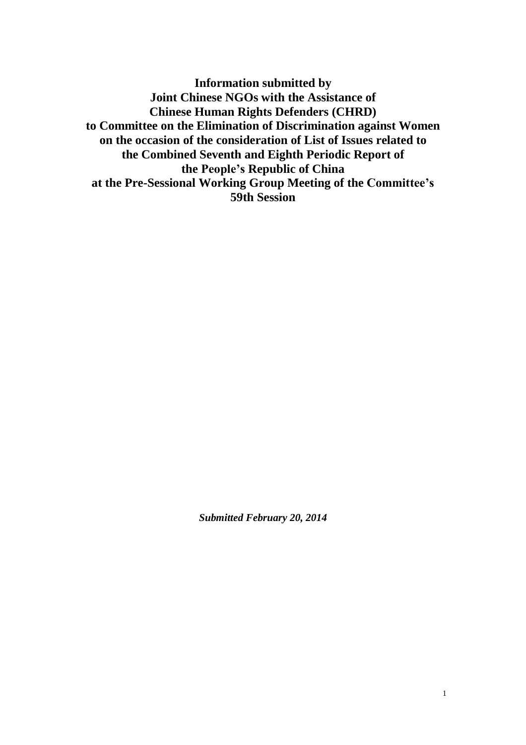**Information submitted by Joint Chinese NGOs with the Assistance of Chinese Human Rights Defenders (CHRD) to Committee on the Elimination of Discrimination against Women on the occasion of the consideration of List of Issues related to the Combined Seventh and Eighth Periodic Report of the People's Republic of China at the Pre-Sessional Working Group Meeting of the Committee's 59th Session**

*Submitted February 20, 2014*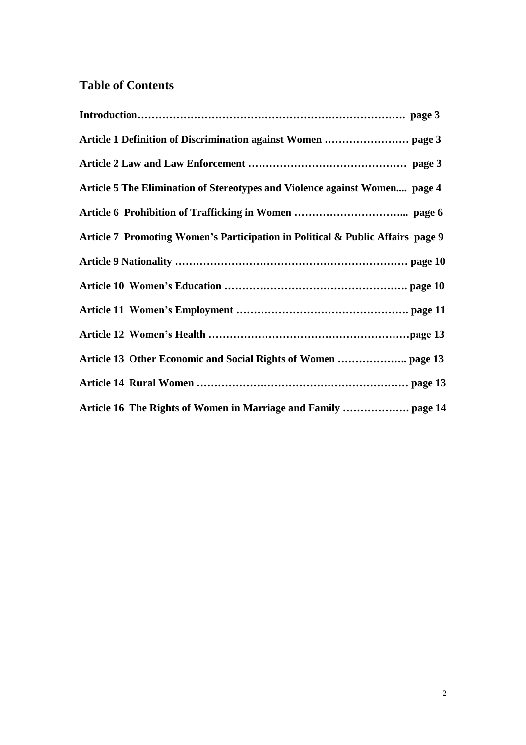# **Table of Contents**

| Article 1 Definition of Discrimination against Women  page 3                   |
|--------------------------------------------------------------------------------|
|                                                                                |
| Article 5 The Elimination of Stereotypes and Violence against Women page 4     |
|                                                                                |
| Article 7 Promoting Women's Participation in Political & Public Affairs page 9 |
|                                                                                |
|                                                                                |
|                                                                                |
|                                                                                |
|                                                                                |
|                                                                                |
| Article 16 The Rights of Women in Marriage and Family  page 14                 |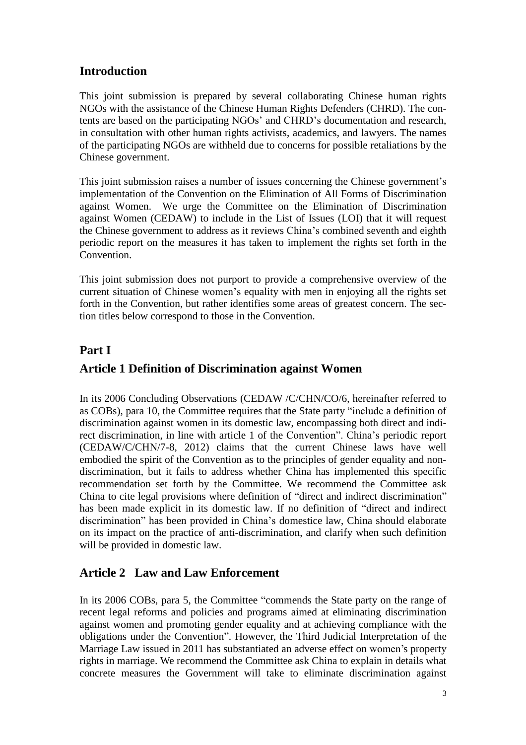## **Introduction**

This joint submission is prepared by several collaborating Chinese human rights NGOs with the assistance of the Chinese Human Rights Defenders (CHRD). The contents are based on the participating NGOs' and CHRD's documentation and research, in consultation with other human rights activists, academics, and lawyers. The names of the participating NGOs are withheld due to concerns for possible retaliations by the Chinese government.

This joint submission raises a number of issues concerning the Chinese government's implementation of the Convention on the Elimination of All Forms of Discrimination against Women. We urge the Committee on the Elimination of Discrimination against Women (CEDAW) to include in the List of Issues (LOI) that it will request the Chinese government to address as it reviews China's combined seventh and eighth periodic report on the measures it has taken to implement the rights set forth in the Convention.

This joint submission does not purport to provide a comprehensive overview of the current situation of Chinese women's equality with men in enjoying all the rights set forth in the Convention, but rather identifies some areas of greatest concern. The section titles below correspond to those in the Convention.

### **Part I**

## **Article 1 Definition of Discrimination against Women**

In its 2006 Concluding Observations (CEDAW /C/CHN/CO/6, hereinafter referred to as COBs), para 10, the Committee requires that the State party "include a definition of discrimination against women in its domestic law, encompassing both direct and indirect discrimination, in line with article 1 of the Convention". China's periodic report (CEDAW/C/CHN/7-8, 2012) claims that the current Chinese laws have well embodied the spirit of the Convention as to the principles of gender equality and nondiscrimination, but it fails to address whether China has implemented this specific recommendation set forth by the Committee. We recommend the Committee ask China to cite legal provisions where definition of "direct and indirect discrimination" has been made explicit in its domestic law. If no definition of "direct and indirect discrimination" has been provided in China's domestice law, China should elaborate on its impact on the practice of anti-discrimination, and clarify when such definition will be provided in domestic law.

### **Article 2 Law and Law Enforcement**

In its 2006 COBs, para 5, the Committee "commends the State party on the range of recent legal reforms and policies and programs aimed at eliminating discrimination against women and promoting gender equality and at achieving compliance with the obligations under the Convention". However, the Third Judicial Interpretation of the Marriage Law issued in 2011 has substantiated an adverse effect on women's property rights in marriage. We recommend the Committee ask China to explain in details what concrete measures the Government will take to eliminate discrimination against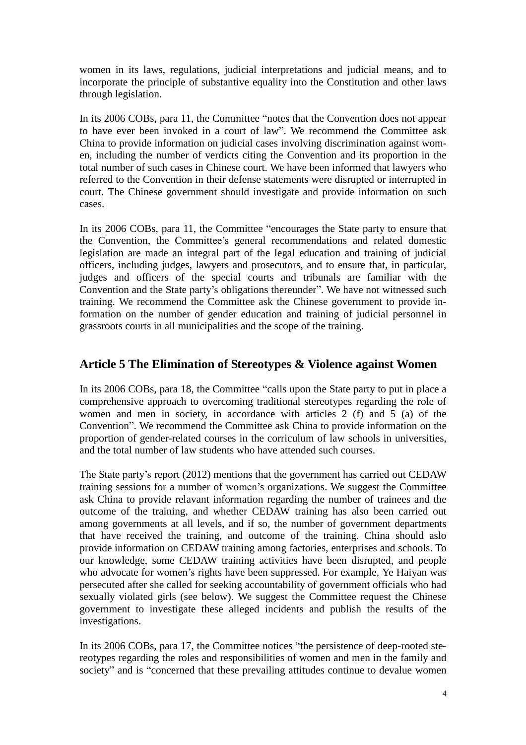women in its laws, regulations, judicial interpretations and judicial means, and to incorporate the principle of substantive equality into the Constitution and other laws through legislation.

In its 2006 COBs, para 11, the Committee "notes that the Convention does not appear to have ever been invoked in a court of law". We recommend the Committee ask China to provide information on judicial cases involving discrimination against women, including the number of verdicts citing the Convention and its proportion in the total number of such cases in Chinese court. We have been informed that lawyers who referred to the Convention in their defense statements were disrupted or interrupted in court. The Chinese government should investigate and provide information on such cases.

In its 2006 COBs, para 11, the Committee "encourages the State party to ensure that the Convention, the Committee's general recommendations and related domestic legislation are made an integral part of the legal education and training of judicial officers, including judges, lawyers and prosecutors, and to ensure that, in particular, judges and officers of the special courts and tribunals are familiar with the Convention and the State party's obligations thereunder". We have not witnessed such training. We recommend the Committee ask the Chinese government to provide information on the number of gender education and training of judicial personnel in grassroots courts in all municipalities and the scope of the training.

### **Article 5 The Elimination of Stereotypes & Violence against Women**

In its 2006 COBs, para 18, the Committee "calls upon the State party to put in place a comprehensive approach to overcoming traditional stereotypes regarding the role of women and men in society, in accordance with articles 2 (f) and 5 (a) of the Convention". We recommend the Committee ask China to provide information on the proportion of gender-related courses in the corriculum of law schools in universities, and the total number of law students who have attended such courses.

The State party's report (2012) mentions that the government has carried out CEDAW training sessions for a number of women's organizations. We suggest the Committee ask China to provide relavant information regarding the number of trainees and the outcome of the training, and whether CEDAW training has also been carried out among governments at all levels, and if so, the number of government departments that have received the training, and outcome of the training. China should aslo provide information on CEDAW training among factories, enterprises and schools. To our knowledge, some CEDAW training activities have been disrupted, and people who advocate for women's rights have been suppressed. For example, Ye Haiyan was persecuted after she called for seeking accountability of government officials who had sexually violated girls (see below). We suggest the Committee request the Chinese government to investigate these alleged incidents and publish the results of the investigations.

In its 2006 COBs, para 17, the Committee notices "the persistence of deep-rooted stereotypes regarding the roles and responsibilities of women and men in the family and society" and is "concerned that these prevailing attitudes continue to devalue women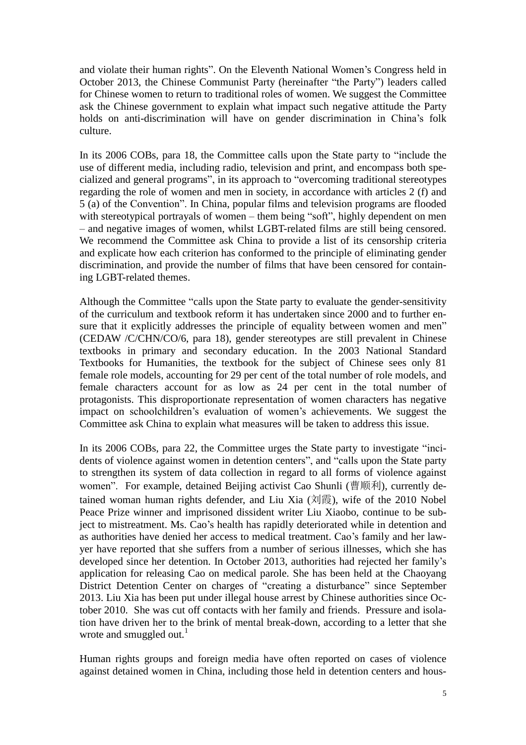and violate their human rights". On the Eleventh National Women's Congress held in October 2013, the Chinese Communist Party (hereinafter "the Party") leaders called for Chinese women to return to traditional roles of women. We suggest the Committee ask the Chinese government to explain what impact such negative attitude the Party holds on anti-discrimination will have on gender discrimination in China's folk culture.

In its 2006 COBs, para 18, the Committee calls upon the State party to "include the use of different media, including radio, television and print, and encompass both specialized and general programs", in its approach to "overcoming traditional stereotypes regarding the role of women and men in society, in accordance with articles 2 (f) and 5 (a) of the Convention". In China, popular films and television programs are flooded with stereotypical portrayals of women – them being "soft", highly dependent on men – and negative images of women, whilst LGBT-related films are still being censored. We recommend the Committee ask China to provide a list of its censorship criteria and explicate how each criterion has conformed to the principle of eliminating gender discrimination, and provide the number of films that have been censored for containing LGBT-related themes.

Although the Committee "calls upon the State party to evaluate the gender-sensitivity of the curriculum and textbook reform it has undertaken since 2000 and to further ensure that it explicitly addresses the principle of equality between women and men" (CEDAW /C/CHN/CO/6, para 18), gender stereotypes are still prevalent in Chinese textbooks in primary and secondary education. In the 2003 National Standard Textbooks for Humanities, the textbook for the subject of Chinese sees only 81 female role models, accounting for 29 per cent of the total number of role models, and female characters account for as low as 24 per cent in the total number of protagonists. This disproportionate representation of women characters has negative impact on schoolchildren's evaluation of women's achievements. We suggest the Committee ask China to explain what measures will be taken to address this issue.

In its 2006 COBs, para 22, the Committee urges the State party to investigate "incidents of violence against women in detention centers", and "calls upon the State party to strengthen its system of data collection in regard to all forms of violence against women". For example, detained Beijing activist Cao Shunli (曹顺利), currently detained woman human rights defender, and Liu Xia  $(\bar{x}$  (刘霞), wife of the 2010 Nobel Peace Prize winner and imprisoned dissident writer Liu Xiaobo, continue to be subject to mistreatment. Ms. Cao's health has rapidly deteriorated while in detention and as authorities have denied her access to medical treatment. Cao's family and her lawyer have reported that she suffers from a number of serious illnesses, which she has developed since her detention. In October 2013, authorities had rejected her family's application for releasing Cao on medical parole. She has been held at the Chaoyang District Detention Center on charges of "creating a disturbance" since September 2013. Liu Xia has been put under illegal house arrest by Chinese authorities since October 2010. She was cut off contacts with her family and friends. Pressure and isolation have driven her to the brink of mental break-down, according to a letter that she wrote and smuggled out. $1$ 

Human rights groups and foreign media have often reported on cases of violence against detained women in China, including those held in detention centers and hous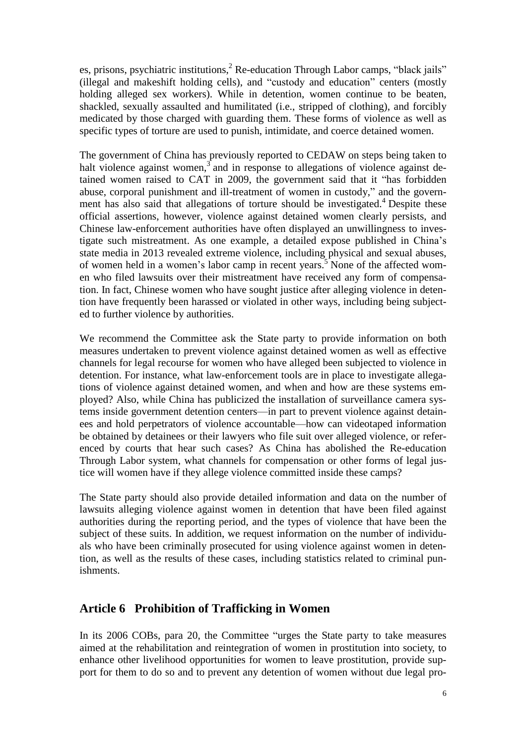es, prisons, psychiatric institutions, ${}^{2}$  Re-education Through Labor camps, "black jails" (illegal and makeshift holding cells), and "custody and education" centers (mostly holding alleged sex workers). While in detention, women continue to be beaten, shackled, sexually assaulted and humilitated (i.e., stripped of clothing), and forcibly medicated by those charged with guarding them. These forms of violence as well as specific types of torture are used to punish, intimidate, and coerce detained women.

The government of China has previously reported to CEDAW on steps being taken to halt violence against women, $3$  and in response to allegations of violence against detained women raised to CAT in 2009, the government said that it "has forbidden abuse, corporal punishment and ill-treatment of women in custody," and the government has also said that allegations of torture should be investigated.<sup>4</sup> Despite these official assertions, however, violence against detained women clearly persists, and Chinese law-enforcement authorities have often displayed an unwillingness to investigate such mistreatment. As one example, a detailed expose published in China's state media in 2013 revealed extreme violence, including physical and sexual abuses, of women held in a women's labor camp in recent years.<sup>5</sup> None of the affected women who filed lawsuits over their mistreatment have received any form of compensation. In fact, Chinese women who have sought justice after alleging violence in detention have frequently been harassed or violated in other ways, including being subjected to further violence by authorities.

We recommend the Committee ask the State party to provide information on both measures undertaken to prevent violence against detained women as well as effective channels for legal recourse for women who have alleged been subjected to violence in detention. For instance, what law-enforcement tools are in place to investigate allegations of violence against detained women, and when and how are these systems employed? Also, while China has publicized the installation of surveillance camera systems inside government detention centers—in part to prevent violence against detainees and hold perpetrators of violence accountable—how can videotaped information be obtained by detainees or their lawyers who file suit over alleged violence, or referenced by courts that hear such cases? As China has abolished the Re-education Through Labor system, what channels for compensation or other forms of legal justice will women have if they allege violence committed inside these camps?

The State party should also provide detailed information and data on the number of lawsuits alleging violence against women in detention that have been filed against authorities during the reporting period, and the types of violence that have been the subject of these suits. In addition, we request information on the number of individuals who have been criminally prosecuted for using violence against women in detention, as well as the results of these cases, including statistics related to criminal punishments.

### **Article 6 Prohibition of Trafficking in Women**

In its 2006 COBs, para 20, the Committee "urges the State party to take measures aimed at the rehabilitation and reintegration of women in prostitution into society, to enhance other livelihood opportunities for women to leave prostitution, provide support for them to do so and to prevent any detention of women without due legal pro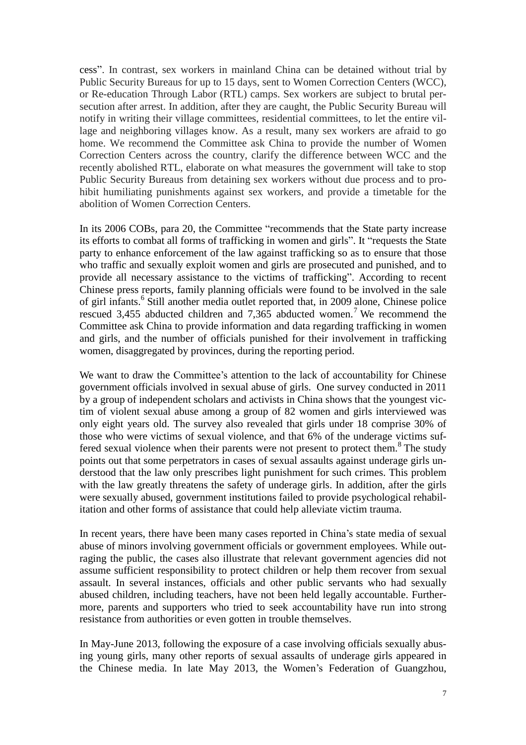cess". In contrast, sex workers in mainland China can be detained without trial by Public Security Bureaus for up to 15 days, sent to Women Correction Centers (WCC), or Re-education Through Labor (RTL) camps. Sex workers are subject to brutal persecution after arrest. In addition, after they are caught, the Public Security Bureau will notify in writing their village committees, residential committees, to let the entire village and neighboring villages know. As a result, many sex workers are afraid to go home. We recommend the Committee ask China to provide the number of Women Correction Centers across the country, clarify the difference between WCC and the recently abolished RTL, elaborate on what measures the government will take to stop Public Security Bureaus from detaining sex workers without due process and to prohibit humiliating punishments against sex workers, and provide a timetable for the abolition of Women Correction Centers.

In its 2006 COBs, para 20, the Committee "recommends that the State party increase its efforts to combat all forms of trafficking in women and girls". It "requests the State party to enhance enforcement of the law against trafficking so as to ensure that those who traffic and sexually exploit women and girls are prosecuted and punished, and to provide all necessary assistance to the victims of trafficking". According to recent Chinese press reports, family planning officials were found to be involved in the sale of girl infants.<sup>6</sup> Still another media outlet reported that, in 2009 alone, Chinese police rescued 3,455 abducted children and 7,365 abducted women.<sup>7</sup> We recommend the Committee ask China to provide information and data regarding trafficking in women and girls, and the number of officials punished for their involvement in trafficking women, disaggregated by provinces, during the reporting period.

We want to draw the Committee's attention to the lack of accountability for Chinese government officials involved in sexual abuse of girls. One survey conducted in 2011 by a group of independent scholars and activists in China shows that the youngest victim of violent sexual abuse among a group of 82 women and girls interviewed was only eight years old. The survey also revealed that girls under 18 comprise 30% of those who were victims of sexual violence, and that 6% of the underage victims suffered sexual violence when their parents were not present to protect them.<sup>8</sup> The study points out that some perpetrators in cases of sexual assaults against underage girls understood that the law only prescribes light punishment for such crimes. This problem with the law greatly threatens the safety of underage girls. In addition, after the girls were sexually abused, government institutions failed to provide psychological rehabilitation and other forms of assistance that could help alleviate victim trauma.

In recent years, there have been many cases reported in China's state media of sexual abuse of minors involving government officials or government employees. While outraging the public, the cases also illustrate that relevant government agencies did not assume sufficient responsibility to protect children or help them recover from sexual assault. In several instances, officials and other public servants who had sexually abused children, including teachers, have not been held legally accountable. Furthermore, parents and supporters who tried to seek accountability have run into strong resistance from authorities or even gotten in trouble themselves.

In May-June 2013, following the exposure of a case involving officials sexually abusing young girls, many other reports of sexual assaults of underage girls appeared in the Chinese media. In late May 2013, the Women's Federation of Guangzhou,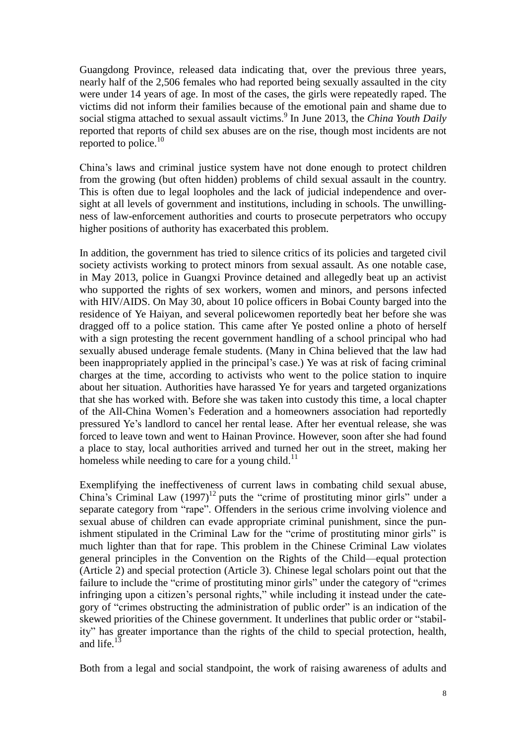Guangdong Province, released data indicating that, over the previous three years, nearly half of the 2,506 females who had reported being sexually assaulted in the city were under 14 years of age. In most of the cases, the girls were repeatedly raped. The victims did not inform their families because of the emotional pain and shame due to social stigma attached to sexual assault victims.<sup>9</sup> In June 2013, the *China Youth Daily* reported that reports of child sex abuses are on the rise, though most incidents are not reported to police. $10$ 

China's laws and criminal justice system have not done enough to protect children from the growing (but often hidden) problems of child sexual assault in the country. This is often due to legal loopholes and the lack of judicial independence and oversight at all levels of government and institutions, including in schools. The unwillingness of law-enforcement authorities and courts to prosecute perpetrators who occupy higher positions of authority has exacerbated this problem.

In addition, the government has tried to silence critics of its policies and targeted civil society activists working to protect minors from sexual assault. As one notable case, in May 2013, police in Guangxi Province detained and allegedly beat up an activist who supported the rights of sex workers, women and minors, and persons infected with HIV/AIDS. On May 30, about 10 police officers in Bobai County barged into the residence of Ye Haiyan, and several policewomen reportedly beat her before she was dragged off to a police station. This came after Ye posted online a photo of herself with a sign protesting the recent government handling of a school principal who had sexually abused underage female students. (Many in China believed that the law had been inappropriately applied in the principal's case.) Ye was at risk of facing criminal charges at the time, according to activists who went to the police station to inquire about her situation. Authorities have harassed Ye for years and targeted organizations that she has worked with. Before she was taken into custody this time, a local chapter of the All-China Women's Federation and a homeowners association had reportedly pressured Ye's landlord to cancel her rental lease. After her eventual release, she was forced to leave town and went to Hainan Province. However, soon after she had found a place to stay, local authorities arrived and turned her out in the street, making her homeless while needing to care for a young child. $^{11}$ 

Exemplifying the ineffectiveness of current laws in combating child sexual abuse, China's Criminal Law  $(1997)^{12}$  puts the "crime of prostituting minor girls" under a separate category from "rape". Offenders in the serious crime involving violence and sexual abuse of children can evade appropriate criminal punishment, since the punishment stipulated in the Criminal Law for the "crime of prostituting minor girls" is much lighter than that for rape. This problem in the Chinese Criminal Law violates general principles in the Convention on the Rights of the Child—equal protection (Article 2) and special protection (Article 3). Chinese legal scholars point out that the failure to include the "crime of prostituting minor girls" under the category of "crimes infringing upon a citizen's personal rights," while including it instead under the category of "crimes obstructing the administration of public order" is an indication of the skewed priorities of the Chinese government. It underlines that public order or "stability" has greater importance than the rights of the child to special protection, health, and life. $13$ 

Both from a legal and social standpoint, the work of raising awareness of adults and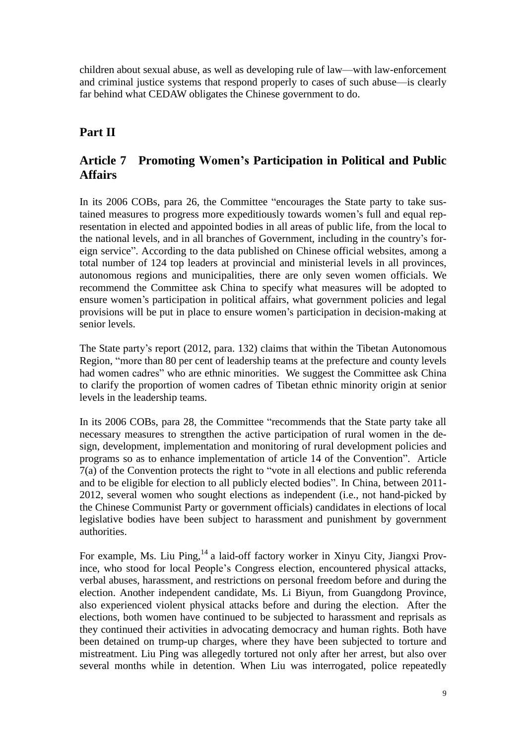children about sexual abuse, as well as developing rule of law—with law-enforcement and criminal justice systems that respond properly to cases of such abuse—is clearly far behind what CEDAW obligates the Chinese government to do.

## **Part II**

## **Article 7 Promoting Women's Participation in Political and Public Affairs**

In its 2006 COBs, para 26, the Committee "encourages the State party to take sustained measures to progress more expeditiously towards women's full and equal representation in elected and appointed bodies in all areas of public life, from the local to the national levels, and in all branches of Government, including in the country's foreign service". According to the data published on Chinese official websites, among a total number of 124 top leaders at provincial and ministerial levels in all provinces, autonomous regions and municipalities, there are only seven women officials. We recommend the Committee ask China to specify what measures will be adopted to ensure women's participation in political affairs, what government policies and legal provisions will be put in place to ensure women's participation in decision-making at senior levels.

The State party's report (2012, para. 132) claims that within the Tibetan Autonomous Region, "more than 80 per cent of leadership teams at the prefecture and county levels had women cadres" who are ethnic minorities. We suggest the Committee ask China to clarify the proportion of women cadres of Tibetan ethnic minority origin at senior levels in the leadership teams.

In its 2006 COBs, para 28, the Committee "recommends that the State party take all necessary measures to strengthen the active participation of rural women in the design, development, implementation and monitoring of rural development policies and programs so as to enhance implementation of article 14 of the Convention". Article 7(a) of the Convention protects the right to "vote in all elections and public referenda and to be eligible for election to all publicly elected bodies". In China, between 2011- 2012, several women who sought elections as independent (i.e., not hand-picked by the Chinese Communist Party or government officials) candidates in elections of local legislative bodies have been subject to harassment and punishment by government authorities.

For example, Ms. Liu Ping,<sup>14</sup> a laid-off factory worker in Xinyu City, Jiangxi Province, who stood for local People's Congress election, encountered physical attacks, verbal abuses, harassment, and restrictions on personal freedom before and during the election. Another independent candidate, Ms. Li Biyun, from Guangdong Province, also experienced violent physical attacks before and during the election. After the elections, both women have continued to be subjected to harassment and reprisals as they continued their activities in advocating democracy and human rights. Both have been detained on trump-up charges, where they have been subjected to torture and mistreatment. Liu Ping was allegedly tortured not only after her arrest, but also over several months while in detention. When Liu was interrogated, police repeatedly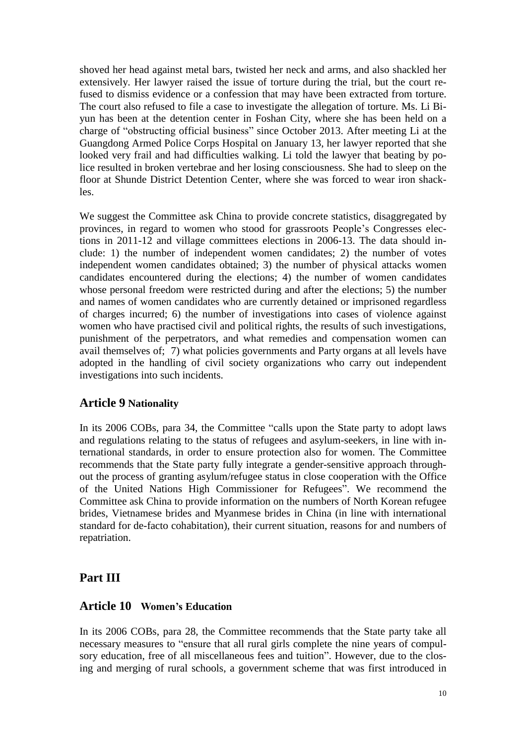shoved her head against metal bars, twisted her neck and arms, and also shackled her extensively. Her lawyer raised the issue of torture during the trial, but the court refused to dismiss evidence or a confession that may have been extracted from torture. The court also refused to file a case to investigate the allegation of torture. Ms. Li Biyun has been at the detention center in Foshan City, where she has been held on a charge of "obstructing official business" since October 2013. After meeting Li at the Guangdong Armed Police Corps Hospital on January 13, her lawyer reported that she looked very frail and had difficulties walking. Li told the lawyer that beating by police resulted in broken vertebrae and her losing consciousness. She had to sleep on the floor at Shunde District Detention Center, where she was forced to wear iron shackles.

We suggest the Committee ask China to provide concrete statistics, disaggregated by provinces, in regard to women who stood for grassroots People's Congresses elections in 2011-12 and village committees elections in 2006-13. The data should include: 1) the number of independent women candidates; 2) the number of votes independent women candidates obtained; 3) the number of physical attacks women candidates encountered during the elections; 4) the number of women candidates whose personal freedom were restricted during and after the elections; 5) the number and names of women candidates who are currently detained or imprisoned regardless of charges incurred; 6) the number of investigations into cases of violence against women who have practised civil and political rights, the results of such investigations, punishment of the perpetrators, and what remedies and compensation women can avail themselves of; 7) what policies governments and Party organs at all levels have adopted in the handling of civil society organizations who carry out independent investigations into such incidents.

#### **Article 9 Nationality**

In its 2006 COBs, para 34, the Committee "calls upon the State party to adopt laws and regulations relating to the status of refugees and asylum-seekers, in line with international standards, in order to ensure protection also for women. The Committee recommends that the State party fully integrate a gender-sensitive approach throughout the process of granting asylum/refugee status in close cooperation with the Office of the United Nations High Commissioner for Refugees". We recommend the Committee ask China to provide information on the numbers of North Korean refugee brides, Vietnamese brides and Myanmese brides in China (in line with international standard for de-facto cohabitation), their current situation, reasons for and numbers of repatriation.

### **Part III**

#### **Article 10 Women's Education**

In its 2006 COBs, para 28, the Committee recommends that the State party take all necessary measures to "ensure that all rural girls complete the nine years of compulsory education, free of all miscellaneous fees and tuition". However, due to the closing and merging of rural schools, a government scheme that was first introduced in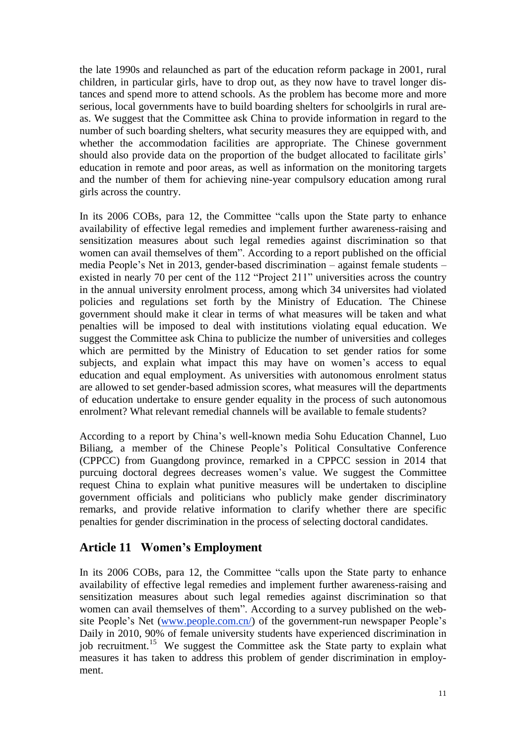the late 1990s and relaunched as part of the education reform package in 2001, rural children, in particular girls, have to drop out, as they now have to travel longer distances and spend more to attend schools. As the problem has become more and more serious, local governments have to build boarding shelters for schoolgirls in rural areas. We suggest that the Committee ask China to provide information in regard to the number of such boarding shelters, what security measures they are equipped with, and whether the accommodation facilities are appropriate. The Chinese government should also provide data on the proportion of the budget allocated to facilitate girls' education in remote and poor areas, as well as information on the monitoring targets and the number of them for achieving nine-year compulsory education among rural girls across the country.

In its 2006 COBs, para 12, the Committee "calls upon the State party to enhance availability of effective legal remedies and implement further awareness-raising and sensitization measures about such legal remedies against discrimination so that women can avail themselves of them". According to a report published on the official media People's Net in 2013, gender-based discrimination – against female students – existed in nearly 70 per cent of the 112 "Project 211" universities across the country in the annual university enrolment process, among which 34 universites had violated policies and regulations set forth by the Ministry of Education. The Chinese government should make it clear in terms of what measures will be taken and what penalties will be imposed to deal with institutions violating equal education. We suggest the Committee ask China to publicize the number of universities and colleges which are permitted by the Ministry of Education to set gender ratios for some subjects, and explain what impact this may have on women's access to equal education and equal employment. As universities with autonomous enrolment status are allowed to set gender-based admission scores, what measures will the departments of education undertake to ensure gender equality in the process of such autonomous enrolment? What relevant remedial channels will be available to female students?

According to a report by China's well-known media Sohu Education Channel, Luo Biliang, a member of the Chinese People's Political Consultative Conference (CPPCC) from Guangdong province, remarked in a CPPCC session in 2014 that purcuing doctoral degrees decreases women's value. We suggest the Committee request China to explain what punitive measures will be undertaken to discipline government officials and politicians who publicly make gender discriminatory remarks, and provide relative information to clarify whether there are specific penalties for gender discrimination in the process of selecting doctoral candidates.

### **Article 11 Women's Employment**

In its 2006 COBs, para 12, the Committee "calls upon the State party to enhance availability of effective legal remedies and implement further awareness-raising and sensitization measures about such legal remedies against discrimination so that women can avail themselves of them". According to a survey published on the web-site People's Net [\(www.people.com.cn/\)](http://www.people.com.cn/) of the government-run newspaper People's Daily in 2010, 90% of female university students have experienced discrimination in job recruitment.<sup>15</sup> We suggest the Committee ask the State party to explain what measures it has taken to address this problem of gender discrimination in employment.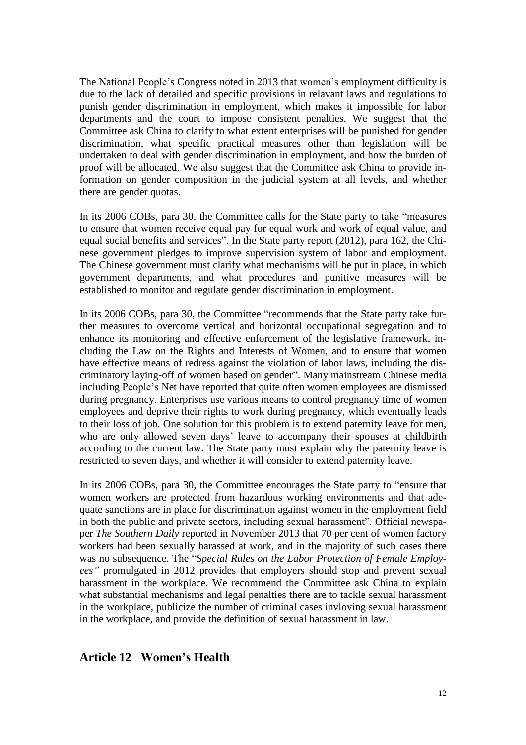The National People's Congress noted in 2013 that women's employment difficulty is due to the lack of detailed and specific provisions in relavant laws and regulations to punish gender discrimination in employment, which makes it impossible for labor departments and the court to impose consistent penalties. We suggest that the Committee ask China to clarify to what extent enterprises will be punished for gender discrimination, what specific practical measures other than legislation will be undertaken to deal with gender discrimination in employment, and how the burden of proof will be allocated. We also suggest that the Committee ask China to provide information on gender composition in the judicial system at all levels, and whether there are gender quotas.

In its 2006 COBs, para 30, the Committee calls for the State party to take "measures to ensure that women receive equal pay for equal work and work of equal value, and equal social benefits and services". In the State party report (2012), para 162, the Chinese government pledges to improve supervision system of labor and employment. The Chinese government must clarify what mechanisms will be put in place, in which government departments, and what procedures and punitive measures will be established to monitor and regulate gender discrimination in employment.

In its 2006 COBs, para 30, the Committee "recommends that the State party take further measures to overcome vertical and horizontal occupational segregation and to enhance its monitoring and effective enforcement of the legislative framework, including the Law on the Rights and Interests of Women, and to ensure that women have effective means of redress against the violation of labor laws, including the discriminatory laying-off of women based on gender". Many mainstream Chinese media including People's Net have reported that quite often women employees are dismissed during pregnancy. Enterprises use various means to control pregnancy time of women employees and deprive their rights to work during pregnancy, which eventually leads to their loss of job. One solution for this problem is to extend paternity leave for men, who are only allowed seven days' leave to accompany their spouses at childbirth according to the current law. The State party must explain why the paternity leave is restricted to seven days, and whether it will consider to extend paternity leave.

In its 2006 COBs, para 30, the Committee encourages the State party to "ensure that women workers are protected from hazardous working environments and that adequate sanctions are in place for discrimination against women in the employment field in both the public and private sectors, including sexual harassment". Official newspaper *The Southern Daily* reported in November 2013 that 70 per cent of women factory workers had been sexually harassed at work, and in the majority of such cases there was no subsequence. The "*Special Rules on the Labor Protection of Female Employees"* promulgated in 2012 provides that employers should stop and prevent sexual harassment in the workplace. We recommend the Committee ask China to explain what substantial mechanisms and legal penalties there are to tackle sexual harassment in the workplace, publicize the number of criminal cases invloving sexual harassment in the workplace, and provide the definition of sexual harassment in law.

### **Article 12 Women's Health**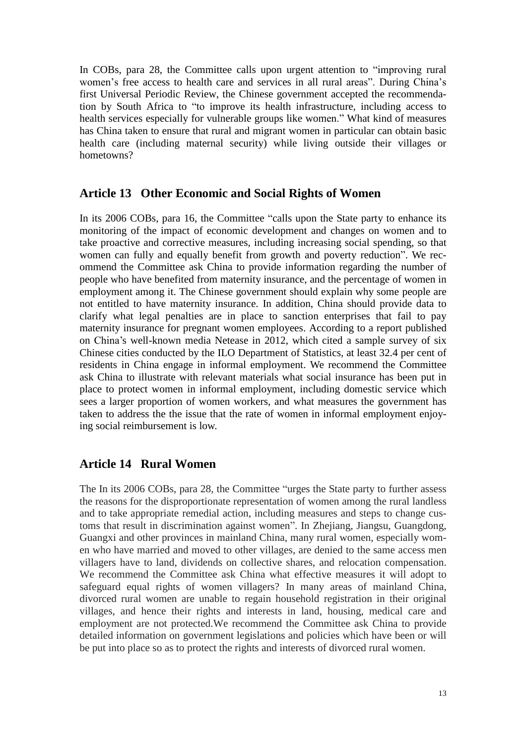In COBs, para 28, the Committee calls upon urgent attention to "improving rural women's free access to health care and services in all rural areas". During China's first Universal Periodic Review, the Chinese government accepted the recommendation by South Africa to "to improve its health infrastructure, including access to health services especially for vulnerable groups like women." What kind of measures has China taken to ensure that rural and migrant women in particular can obtain basic health care (including maternal security) while living outside their villages or hometowns?

#### **Article 13 Other Economic and Social Rights of Women**

In its 2006 COBs, para 16, the Committee "calls upon the State party to enhance its monitoring of the impact of economic development and changes on women and to take proactive and corrective measures, including increasing social spending, so that women can fully and equally benefit from growth and poverty reduction". We recommend the Committee ask China to provide information regarding the number of people who have benefited from maternity insurance, and the percentage of women in employment among it. The Chinese government should explain why some people are not entitled to have maternity insurance. In addition, China should provide data to clarify what legal penalties are in place to sanction enterprises that fail to pay maternity insurance for pregnant women employees. According to a report published on China's well-known media Netease in 2012, which cited a sample survey of six Chinese cities conducted by the ILO Department of Statistics, at least 32.4 per cent of residents in China engage in informal employment. We recommend the Committee ask China to illustrate with relevant materials what social insurance has been put in place to protect women in informal employment, including domestic service which sees a larger proportion of women workers, and what measures the government has taken to address the the issue that the rate of women in informal employment enjoying social reimbursement is low.

### **Article 14 Rural Women**

The In its 2006 COBs, para 28, the Committee "urges the State party to further assess the reasons for the disproportionate representation of women among the rural landless and to take appropriate remedial action, including measures and steps to change customs that result in discrimination against women". In Zhejiang, Jiangsu, Guangdong, Guangxi and other provinces in mainland China, many rural women, especially women who have married and moved to other villages, are denied to the same access men villagers have to land, dividends on collective shares, and relocation compensation. We recommend the Committee ask China what effective measures it will adopt to safeguard equal rights of women villagers? In many areas of mainland China, divorced rural women are unable to regain household registration in their original villages, and hence their rights and interests in land, housing, medical care and employment are not protected.We recommend the Committee ask China to provide detailed information on government legislations and policies which have been or will be put into place so as to protect the rights and interests of divorced rural women.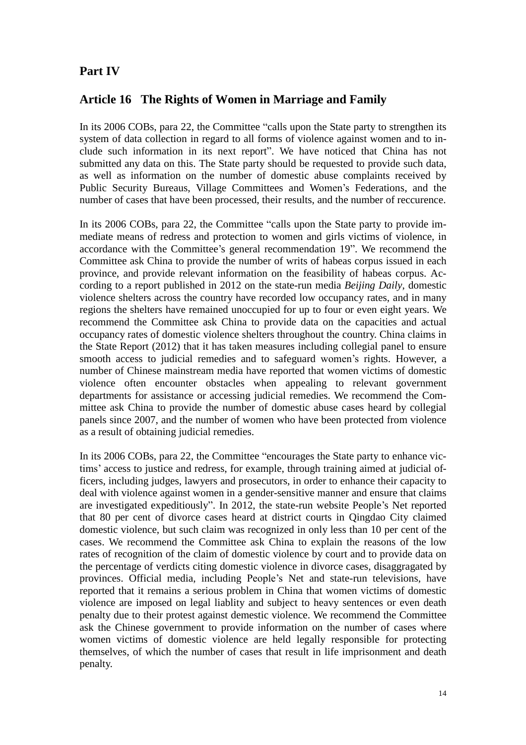## **Part IV**

### **Article 16 The Rights of Women in Marriage and Family**

In its 2006 COBs, para 22, the Committee "calls upon the State party to strengthen its system of data collection in regard to all forms of violence against women and to include such information in its next report". We have noticed that China has not submitted any data on this. The State party should be requested to provide such data, as well as information on the number of domestic abuse complaints received by Public Security Bureaus, Village Committees and Women's Federations, and the number of cases that have been processed, their results, and the number of reccurence.

In its 2006 COBs, para 22, the Committee "calls upon the State party to provide immediate means of redress and protection to women and girls victims of violence, in accordance with the Committee's general recommendation 19". We recommend the Committee ask China to provide the number of writs of habeas corpus issued in each province, and provide relevant information on the feasibility of habeas corpus. According to a report published in 2012 on the state-run media *Beijing Daily*, domestic violence shelters across the country have recorded low occupancy rates, and in many regions the shelters have remained unoccupied for up to four or even eight years. We recommend the Committee ask China to provide data on the capacities and actual occupancy rates of domestic violence shelters throughout the country. China claims in the State Report (2012) that it has taken measures including collegial panel to ensure smooth access to judicial remedies and to safeguard women's rights. However, a number of Chinese mainstream media have reported that women victims of domestic violence often encounter obstacles when appealing to relevant government departments for assistance or accessing judicial remedies. We recommend the Committee ask China to provide the number of domestic abuse cases heard by collegial panels since 2007, and the number of women who have been protected from violence as a result of obtaining judicial remedies.

In its 2006 COBs, para 22, the Committee "encourages the State party to enhance victims' access to justice and redress, for example, through training aimed at judicial officers, including judges, lawyers and prosecutors, in order to enhance their capacity to deal with violence against women in a gender-sensitive manner and ensure that claims are investigated expeditiously". In 2012, the state-run website People's Net reported that 80 per cent of divorce cases heard at district courts in Qingdao City claimed domestic violence, but such claim was recognized in only less than 10 per cent of the cases. We recommend the Committee ask China to explain the reasons of the low rates of recognition of the claim of domestic violence by court and to provide data on the percentage of verdicts citing domestic violence in divorce cases, disaggragated by provinces. Official media, including People's Net and state-run televisions, have reported that it remains a serious problem in China that women victims of domestic violence are imposed on legal liablity and subject to heavy sentences or even death penalty due to their protest against demestic violence. We recommend the Committee ask the Chinese government to provide information on the number of cases where women victims of domestic violence are held legally responsible for protecting themselves, of which the number of cases that result in life imprisonment and death penalty.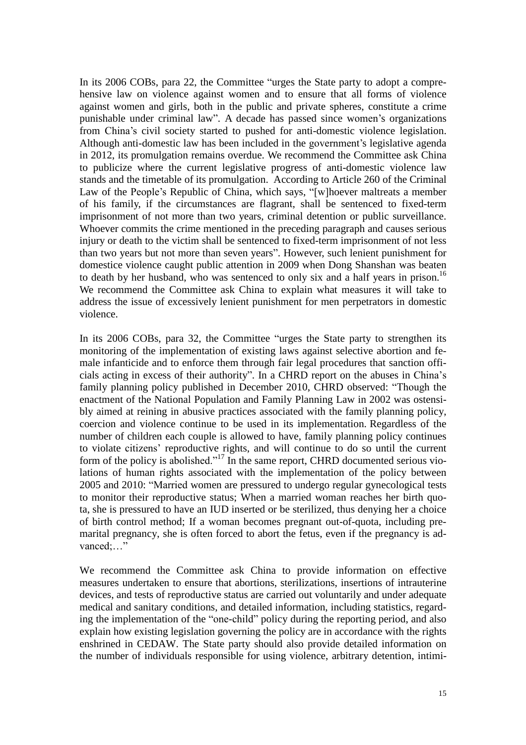In its 2006 COBs, para 22, the Committee "urges the State party to adopt a comprehensive law on violence against women and to ensure that all forms of violence against women and girls, both in the public and private spheres, constitute a crime punishable under criminal law". A decade has passed since women's organizations from China's civil society started to pushed for anti-domestic violence legislation. Although anti-domestic law has been included in the government's legislative agenda in 2012, its promulgation remains overdue. We recommend the Committee ask China to publicize where the current legislative progress of anti-domestic violence law stands and the timetable of its promulgation. According to Article 260 of the Criminal Law of the People's Republic of China, which says, "[w]hoever maltreats a member of his family, if the circumstances are flagrant, shall be sentenced to fixed-term imprisonment of not more than two years, criminal detention or public surveillance. Whoever commits the crime mentioned in the preceding paragraph and causes serious injury or death to the victim shall be sentenced to fixed-term imprisonment of not less than two years but not more than seven years". However, such lenient punishment for domestice violence caught public attention in 2009 when Dong Shanshan was beaten to death by her husband, who was sentenced to only six and a half years in prison.<sup>16</sup> We recommend the Committee ask China to explain what measures it will take to address the issue of excessively lenient punishment for men perpetrators in domestic violence.

In its 2006 COBs, para 32, the Committee "urges the State party to strengthen its monitoring of the implementation of existing laws against selective abortion and female infanticide and to enforce them through fair legal procedures that sanction officials acting in excess of their authority". In a CHRD report on the abuses in China's family planning policy published in December 2010, CHRD observed: "Though the enactment of the National Population and Family Planning Law in 2002 was ostensibly aimed at reining in abusive practices associated with the family planning policy, coercion and violence continue to be used in its implementation. Regardless of the number of children each couple is allowed to have, family planning policy continues to violate citizens' reproductive rights, and will continue to do so until the current form of the policy is abolished."<sup>17</sup> In the same report, CHRD documented serious violations of human rights associated with the implementation of the policy between 2005 and 2010: "Married women are pressured to undergo regular gynecological tests to monitor their reproductive status; When a married woman reaches her birth quota, she is pressured to have an IUD inserted or be sterilized, thus denying her a choice of birth control method; If a woman becomes pregnant out-of-quota, including premarital pregnancy, she is often forced to abort the fetus, even if the pregnancy is advanced:..."

We recommend the Committee ask China to provide information on effective measures undertaken to ensure that abortions, sterilizations, insertions of intrauterine devices, and tests of reproductive status are carried out voluntarily and under adequate medical and sanitary conditions, and detailed information, including statistics, regarding the implementation of the "one-child" policy during the reporting period, and also explain how existing legislation governing the policy are in accordance with the rights enshrined in CEDAW. The State party should also provide detailed information on the number of individuals responsible for using violence, arbitrary detention, intimi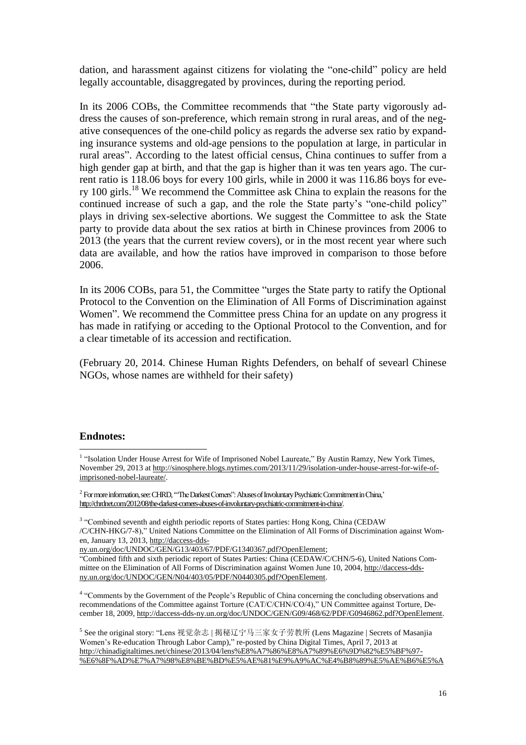dation, and harassment against citizens for violating the "one-child" policy are held legally accountable, disaggregated by provinces, during the reporting period.

In its 2006 COBs, the Committee recommends that "the State party vigorously address the causes of son-preference, which remain strong in rural areas, and of the negative consequences of the one-child policy as regards the adverse sex ratio by expanding insurance systems and old-age pensions to the population at large, in particular in rural areas". According to the latest official census, China continues to suffer from a high gender gap at birth, and that the gap is higher than it was ten years ago. The current ratio is 118.06 boys for every 100 girls, while in 2000 it was 116.86 boys for every 100 girls.<sup>18</sup> We recommend the Committee ask China to explain the reasons for the continued increase of such a gap, and the role the State party's "one-child policy" plays in driving sex-selective abortions. We suggest the Committee to ask the State party to provide data about the sex ratios at birth in Chinese provinces from 2006 to 2013 (the years that the current review covers), or in the most recent year where such data are available, and how the ratios have improved in comparison to those before 2006.

In its 2006 COBs, para 51, the Committee "urges the State party to ratify the Optional Protocol to the Convention on the Elimination of All Forms of Discrimination against Women". We recommend the Committee press China for an update on any progress it has made in ratifying or acceding to the Optional Protocol to the Convention, and for a clear timetable of its accession and rectification.

(February 20, 2014. Chinese Human Rights Defenders, on behalf of sevearl Chinese NGOs, whose names are withheld for their safety)

#### **Endnotes:**

 $\overline{a}$ <sup>1</sup> "Isolation Under House Arrest for Wife of Imprisoned Nobel Laureate," By Austin Ramzy, New York Times, November 29, 2013 at [http://sinosphere.blogs.nytimes.com/2013/11/29/isolation-under-house-arrest-for-wife-of](http://sinosphere.blogs.nytimes.com/2013/11/29/isolation-under-house-arrest-for-wife-of-imprisoned-nobel-laureate/)[imprisoned-nobel-laureate/.](http://sinosphere.blogs.nytimes.com/2013/11/29/isolation-under-house-arrest-for-wife-of-imprisoned-nobel-laureate/)

 $^2$  Formore information, see: CHRD, "The Darkest Corners": Abuses of Involuntary Psychiatric Commitment in China," [http://chrdnet.com/2012/08/the-darkest-corners-abuses-of-involuntary-psychiatric-commitment-in-china/.](http://chrdnet.com/2012/08/the-darkest-corners-abuses-of-involuntary-psychiatric-commitment-in-china/)

<sup>3</sup> "Combined seventh and eighth periodic reports of States parties: Hong Kong, China (CEDAW /C/CHN-HKG/7-8)," United Nations Committee on the Elimination of All Forms of Discrimination against Women, January 13, 2013, [http://daccess-dds-](http://daccess-dds-ny.un.org/doc/UNDOC/GEN/G13/403/67/PDF/G1340367.pdf?OpenElement)

[ny.un.org/doc/UNDOC/GEN/G13/403/67/PDF/G1340367.pdf?OpenElement;](http://daccess-dds-ny.un.org/doc/UNDOC/GEN/G13/403/67/PDF/G1340367.pdf?OpenElement)

"Combined fifth and sixth periodic report of States Parties: China (CEDAW/C/CHN/5-6), United Nations Committee on the Elimination of All Forms of Discrimination against Women June 10, 2004, [http://daccess-dds](http://daccess-dds-ny.un.org/doc/UNDOC/GEN/N04/403/05/PDF/N0440305.pdf?OpenElement)[ny.un.org/doc/UNDOC/GEN/N04/403/05/PDF/N0440305.pdf?OpenElement.](http://daccess-dds-ny.un.org/doc/UNDOC/GEN/N04/403/05/PDF/N0440305.pdf?OpenElement)

<sup>4</sup> "Comments by the Government of the People's Republic of China concerning the concluding observations and recommendations of the Committee against Torture (CAT/C/CHN/CO/4)," UN Committee against Torture, December 18, 2009, [http://daccess-dds-ny.un.org/doc/UNDOC/GEN/G09/468/62/PDF/G0946862.pdf?OpenElement.](http://daccess-dds-ny.un.org/doc/UNDOC/GEN/G09/468/62/PDF/G0946862.pdf?OpenElement)

<sup>5</sup> See the original story: "Lens 视觉杂志 | 揭秘辽宁马三家女子劳教所 (Lens Magazine | Secrets of Masanjia Women's Re-education Through Labor Camp)," re-posted by China Digital Times, April 7, 2013 at [http://chinadigitaltimes.net/chinese/2013/04/lens%E8%A7%86%E8%A7%89%E6%9D%82%E5%BF%97-](http://chinadigitaltimes.net/chinese/2013/04/lens%E8%A7%86%E8%A7%89%E6%9D%82%E5%BF%97-%E6%8F%AD%E7%A7%98%E8%BE%BD%E5%AE%81%E9%A9%AC%E4%B8%89%E5%AE%B6%E5%A5%B3%E5%AD%90%E5%8A%B3%E6%95%99%E6%89%80/) [%E6%8F%AD%E7%A7%98%E8%BE%BD%E5%AE%81%E9%A9%AC%E4%B8%89%E5%AE%B6%E5%A](http://chinadigitaltimes.net/chinese/2013/04/lens%E8%A7%86%E8%A7%89%E6%9D%82%E5%BF%97-%E6%8F%AD%E7%A7%98%E8%BE%BD%E5%AE%81%E9%A9%AC%E4%B8%89%E5%AE%B6%E5%A5%B3%E5%AD%90%E5%8A%B3%E6%95%99%E6%89%80/)